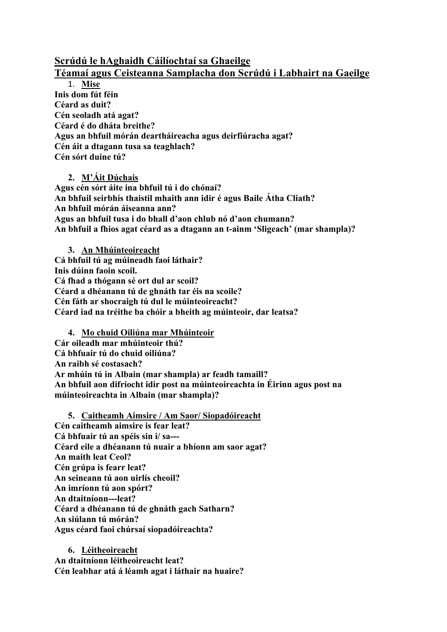## **Scrúdú le hAghaidh Cáilíochtaí sa Ghaeilge**

## **Téamaí agus Ceisteanna Samplacha don Scrúdú i Labhairt na Gaeilge**

1. **Mise Inis dom fút féin Céard as duit? Cén seoladh atá agat? Céard é do dháta breithe? Agus an bhfuil mórán deartháireacha agus deirfiúracha agat? Cén áit a dtagann tusa sa teaghlach? Cén sórt duine tú?** 

**2. M'Áit Dúchais Agus cén sórt áite ina bhfuil tú i do chónaí? An bhfuil seirbhís thaistil mhaith ann idir é agus Baile Átha Cliath? An bhfuil mórán áiseanna ann? Agus an bhfuil tusa i do bhall d'aon chlub nó d'aon chumann? An bhfuil a fhios agat céard as a dtagann an t-ainm 'Sligeach' (mar shampla)?** 

**3. An Mhúinteoireacht Cá bhfuil tú ag múineadh faoi láthair? Inis dúinn faoin scoil. Cá fhad a thógann sé ort dul ar scoil? Céard a dhéanann tú de ghnáth tar éis na scoile? Cén fáth ar shocraigh tú dul le múinteoireacht? Céard iad na tréithe ba chóir a bheith ag múinteoir, dar leatsa?**

**4. Mo chuid Oiliúna mar Mhúinteoir Cár oileadh mar mhúinteoir thú? Cá bhfuair tú do chuid oiliúna? An raibh sé costasach? Ar mhúin tú in Albain (mar shampla) ar feadh tamaill? An bhfuil aon difríocht idir post na múinteoireachta in Éirinn agus post na múinteoireachta in Albain (mar shampla)?** 

**5. Caitheamh Aimsire / Am Saor/ Siopadóireacht Cén caitheamh aimsire is fear leat? Cá bhfuair tú an spéis sin i/ sa--- Céard eile a dhéanann tú nuair a bhíonn am saor agat? An maith leat Ceol? Cén grúpa is fearr leat? An seineann tú aon uirlís cheoil? An imríonn tú aon spórt? An dtaitníonn---leat? Céard a dhéanann tú de ghnáth gach Satharn? An siúlann tú mórán? Agus céard faoi chúrsaí siopadóireachta?**

**6. Léitheoireacht An dtaitníonn léitheoireacht leat? Cén leabhar atá á léamh agat i láthair na huaire?**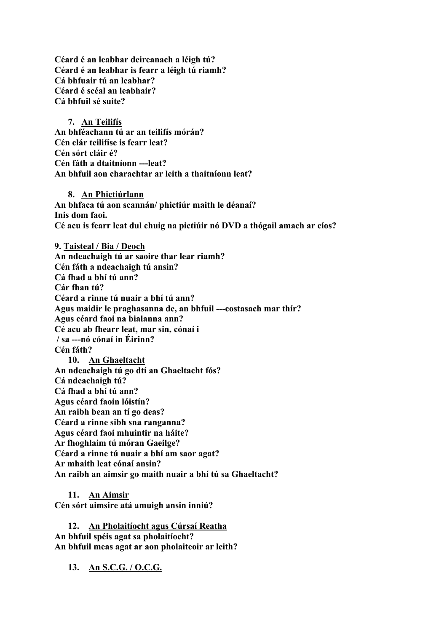**Céard é an leabhar deireanach a léigh tú? Céard é an leabhar is fearr a léigh tú riamh? Cá bhfuair tú an leabhar? Céard é scéal an leabhair? Cá bhfuil sé suite?**

**7. An Teilifís An bhféachann tú ar an teilifís mórán? Cén clár teilifíse is fearr leat? Cén sórt cláir é? Cén fáth a dtaitníonn ---leat? An bhfuil aon charachtar ar leith a thaitníonn leat?**

**8. An Phictiúrlann An bhfaca tú aon scannán/ phictiúr maith le déanaí? Inis dom faoi. Cé acu is fearr leat dul chuig na pictiúir nó DVD a thógail amach ar cíos?**

**9. Taisteal / Bia / Deoch An ndeachaigh tú ar saoire thar lear riamh? Cén fáth a ndeachaigh tú ansin? Cá fhad a bhí tú ann? Cár fhan tú? Céard a rinne tú nuair a bhí tú ann? Agus maidir le praghasanna de, an bhfuil ---costasach mar thír? Agus céard faoi na bialanna ann? Cé acu ab fhearr leat, mar sin, cónaí i / sa ---nó cónaí in Éirinn? Cén fáth? 10. An Ghaeltacht An ndeachaigh tú go dtí an Ghaeltacht fós? Cá ndeachaigh tú? Cá fhad a bhí tú ann? Agus céard faoin lóistín? An raibh bean an tí go deas? Céard a rinne sibh sna ranganna? Agus céard faoi mhuintir na háite? Ar fhoghlaim tú móran Gaeilge? Céard a rinne tú nuair a bhí am saor agat? Ar mhaith leat cónaí ansin? An raibh an aimsir go maith nuair a bhí tú sa Ghaeltacht?**

**11. An Aimsir Cén sórt aimsire atá amuigh ansin inniú?**

**12. An Pholaitíocht agus Cúrsaí Reatha An bhfuil spéis agat sa pholaitíocht? An bhfuil meas agat ar aon pholaiteoir ar leith?**

**13. An S.C.G. / O.C.G.**